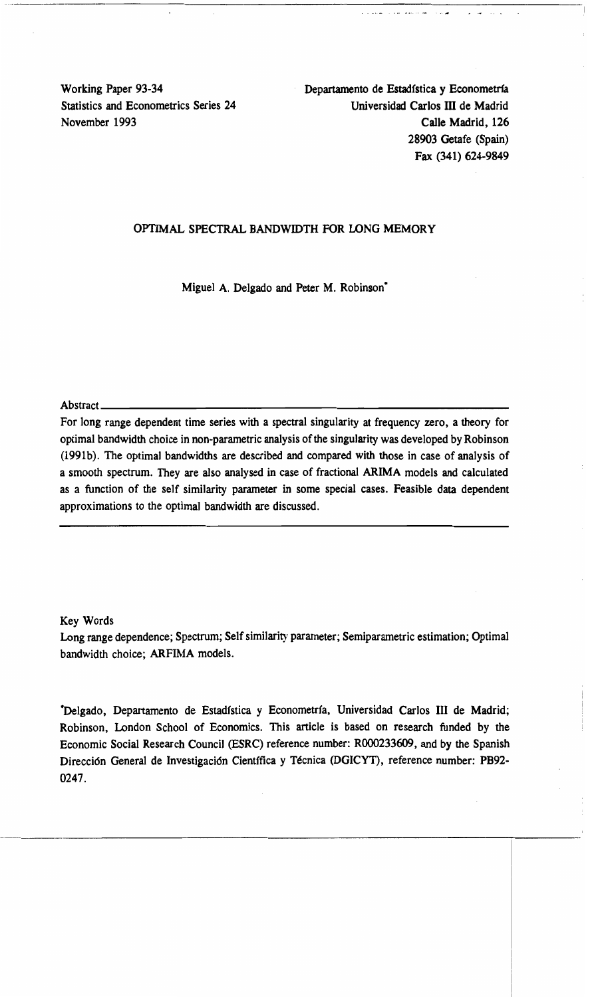$\cdots$  . The construction of the construction of the construction of  $\cdots$  . The construction of the construction of the construction of the construction of the construction of the construction of the construction of the c

Working Paper 93-34 Departamento de Estadfstica y Econometrfa Statistics and Econometrics Series 24 Universidad Carlos III de Madrid November 1993 Calle Madrid, 126 28903 Getafe (Spain) Fax (341) 624-9849

# OPTIMAL SPECTRAL BANDWIDTH FOR LONG MEMORY

Miguel A. Delgado and Peter M. Robinson<sup>\*</sup>

Abstract  $\overline{a}$ 

For long range dependent time series with a spectral singularity at frequency zero, a theory for optimal bandwidth choice in non-parametric analysis ofthe singularity was developed by Robinson (1991b). The optimal bandwidths are described and compared with those in case of analysis of a smooth spectrum. They are also analysed in case of fractional ARIMA models and calculated as a function of the self similarity parameter in some special cases. Feasible data dependent approximations to the optimal bandwidth are discussed.

Key Words

Long range dependence; Spectrum; Self similarity parameter; Semiparametric estimation; Optimal bandwidth choice; ARFIMA models.

\*Delgado, Departamento de Estadística y Econometría, Universidad Carlos III de Madrid; Robinson, London School of Economics. This article is based on research funded by the Economic Social Research Council (ESRC) reference number: ROOO233609, and by the Spanish Dirección General de Investigación Científica y Técnica (DGICYT), reference number: PB92-0247.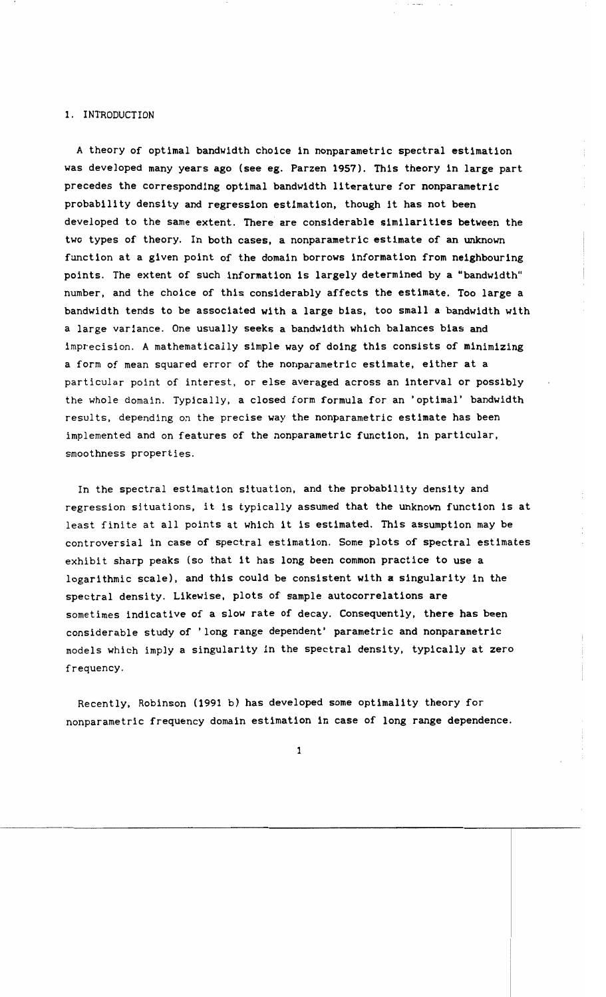### 1. INTRODUCTION

A theory of optimal bandwidth choice in nonparametric spectral estimation was developed many years ago (see eg. Parzen 1957). This theory in large part precedes the corresponding optimal bandwidth literature for nonparametric probability density and regression estimation, though it has not been developed to the same extent. There are considerable similarities between the two types of theory. In both cases, a nonparametric estimate of an unknown function at a given point of the domain borrows information from neighbouring points. The extent of such information is largely determined by a "bandwidth" number, and the choice of this considerably affects the estimate. Too large a bandwidth tends to be associated with a large bias, too small a bandwidth with a large variance. One usually seeks a bandwidth which balances bias and imprecision. A mathematically simple way of doing this consists of minimizing a form of mean squared error of the nonparametric estimate, either at a particular point of interest, or else averaged across an interval or possibly the whole domain. Typically, a closed form formula for an 'optimal' bandwidth results, depending on the precise way the nonparametric estimate has been implemented and on features of the nonparametric function, in particular, smoothness properties.

In the spectral estimation situation, and the probability density and regression situations, it is typically assumed that the unknown function is at least finite at all points at which it is estimated. This assumption may be controversial in case of spectral estimation. Some plots of spectral estimates exhibit sharp peaks (so that it has long been common practice to use a logarithmic scale), and this could be consistent with a singularity in the spectral density. Likewise, plots of sample autocorrelations are sometimes indicative of a slow rate of decay. Consequently, there has been considerable study of 'long range dependent' parametric and nonparametric models which imply a singularity in the spectral density, typically at zero frequency.

Recently, Robinson (1991 b) has developed some optimality theory for nonparametric frequency domain estimation in case of long range dependence.

1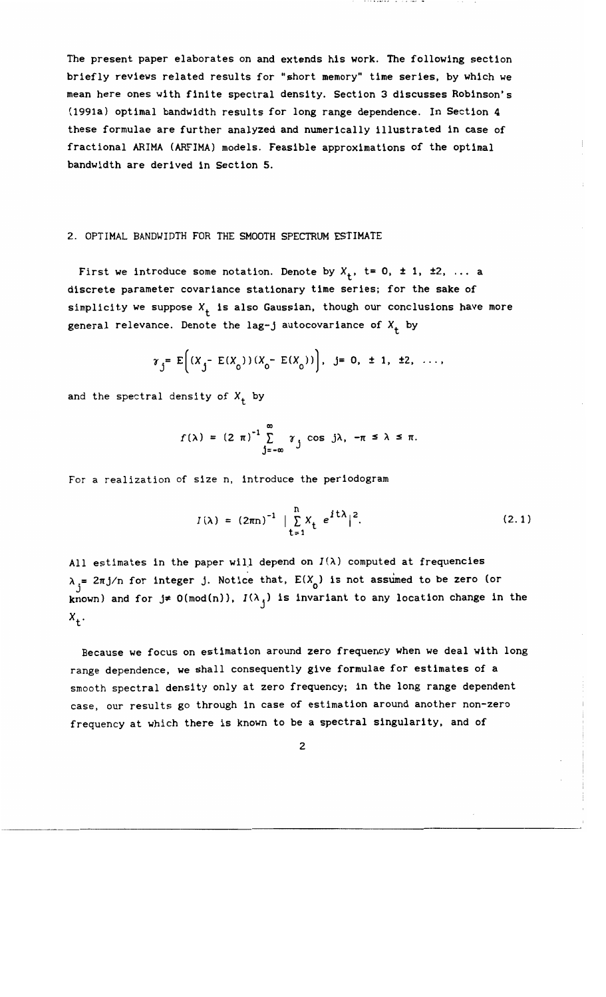The present paper elaborates on and extends his work. The following section briefly reviews related results for "short memory" time series. by which we mean here ones with finite spectral density. Section 3 discusses Robinson's (1991a) optimal bandwidth results for long range dependence. In Section 4 these formulae are further analyzed and numerically illustrated in case of fractional ARIMA (ARFIMA) models. Feasible approximations of the optimal bandwidth are derived in Section 5.

### 2. OPTIMAL BANDWIDTH FOR THE SMOOTH SPECTRUM ESTIMATE

First we introduce some notation. Denote by  $X_+$ , t= 0, ± 1, ±2, ... a discrete parameter covariance stationary time series; for the sake of simplicity we suppose  $X_+$  is also Gaussian, though our conclusions have more general relevance. Denote the lag-j autocovariance of  $X_t$  by

$$
\gamma_j = E[(X_j - E(X_0))(X_0 - E(X_0))], j = 0, \pm 1, \pm 2, ...,
$$

and the spectral density of  $X_+$  by

$$
f(\lambda) = (2 \pi)^{-1} \sum_{j=-\infty}^{\infty} \gamma_j \cos j\lambda, -\pi \le \lambda \le \pi.
$$

For a realization of size n, introduce the periodogram

$$
I(\lambda) = (2\pi n)^{-1} \mid \sum_{t=1}^{n} X_t e^{it\lambda} \mid^{2}.
$$
 (2.1)

All estimates in the paper will depend on  $I(\lambda)$  computed at frequencies  $\lambda_i = 2\pi j/n$  for integer j. Notice that,  $E(X_0)$  is not assumed to be zero (or known) and for  $j\neq 0 \pmod{n}$ ,  $I(\lambda_j)$  is invariant to any location change in the  $X_{+}$ .

Because we focus on estimation around zero frequency when we deal with long range dependence. we shall consequently give formulae for estimates of a smooth spectral density only at zero frequency; in the long range dependent case, our results go through in case of estimation around another non-zero frequency at which there is known to be a spectral singularity. and of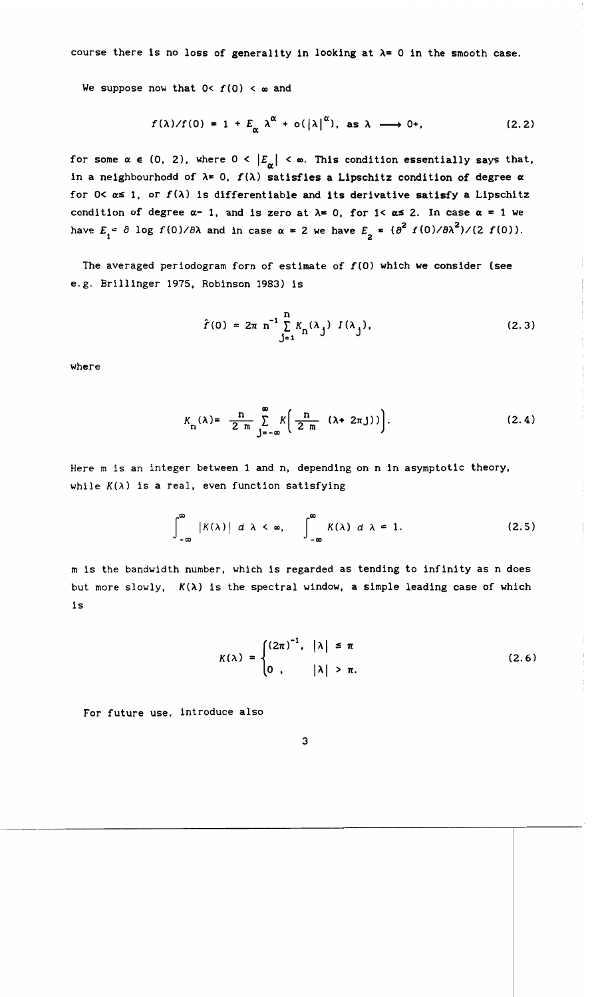course there is no loss of generality in looking at  $\lambda = 0$  in the smooth case.

We suppose now that  $0 < f(0) < \infty$  and

$$
f(\lambda)/f(0) = 1 + E_{\alpha} \lambda^{\alpha} + o(|\lambda|^{\alpha}), \text{ as } \lambda \longrightarrow 0^+.
$$
 (2.2)

for some  $\alpha \in (0, 2)$ , where  $0 < |E_{\alpha}| < \infty$ . This condition essentially says that, in a neighbourhodd of  $\lambda = 0$ ,  $f(\lambda)$  satisfies a Lipschitz condition of degree  $\alpha$ for  $0 < \alpha \leq 1$ , or  $f(\lambda)$  is differentiable and its derivative satisfy a Lipschitz condition of degree  $\alpha$ - 1, and is zero at  $\lambda$ = 0, for 1<  $\alpha$  ≤ 2. In case  $\alpha$  = 1 we have  $E_i = \partial \log f(0)/\partial \lambda$  and in case  $\alpha = 2$  we have  $E_j = (\partial^2 f(0)/\partial \lambda^2)/(2 f(0))$ .

The averaged periodogram form of estimate of  $f(0)$  which we consider (see e.g. Bri11inger 1975, Robinson 1983) is

$$
\hat{f}(0) = 2\pi \, n^{-1} \sum_{j=1}^{n} K_{n}(\lambda_{j}) \, I(\lambda_{j}), \qquad (2.3)
$$

where

$$
K_{n}(\lambda) = \frac{n}{2 m} \sum_{j=-\infty}^{\infty} K\left(\frac{n}{2 m} (\lambda + 2\pi j)\right).
$$
 (2.4)

Here m is an integer between 1 and n, depending on n in asymptotic theory, while  $K(\lambda)$  is a real, even function satisfying

$$
\int_{-\infty}^{\infty} |K(\lambda)| d\lambda < \infty, \qquad \int_{-\infty}^{\infty} K(\lambda) d\lambda = 1.
$$
 (2.5)

m is the bandwidth number, which is regarded as tending to infinity as n does but more slowly, *K(A)* is the spectral window, a simple leading case of which is

$$
K(\lambda) = \begin{cases} (2\pi)^{-1}, & |\lambda| \leq \pi \\ 0, & |\lambda| > \pi. \end{cases}
$$
 (2.6)

For future use, introduce also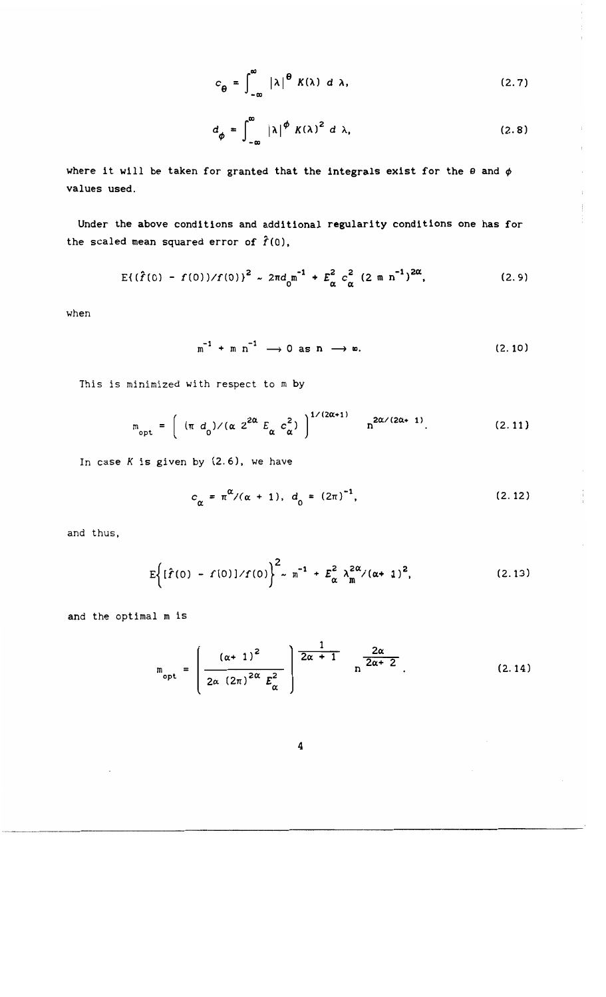$$
c_{\theta} = \int_{-\infty}^{\infty} |\lambda|^{2} K(\lambda) d\lambda, \qquad (2.7)
$$

$$
d_{\phi} = \int_{-\infty}^{\infty} |\lambda|^{ \phi} K(\lambda)^2 d\lambda, \qquad (2.8)
$$

 $\bar{\alpha}$ 

 $\frac{1}{2}$ 

 $\hat{\mathcal{A}}$ 

 $\mathcal{A}$ 

 $\frac{1}{2}$ 

 $\frac{1}{2}$ 

where it will be taken for granted that the integrals exist for the  $\theta$  and  $\phi$ values used.

Under the above conditions and additional regularity conditions one has for the scaled mean squared error of  $\hat{f}(0)$ ,

$$
E\{(\hat{f}(0) - f(0))/f(0)\}^{2} \sim 2\pi d_{0}^{2}^{-1} + E_{\alpha}^{2} c_{\alpha}^{2} (2 m n^{-1})^{2\alpha},
$$
 (2.9)

when

$$
m^{-1} + m n^{-1} \longrightarrow 0 \text{ as } n \longrightarrow \infty. \tag{2.10}
$$

This is minimized with respect to m by

$$
m_{\text{opt}} = \left( \begin{array}{cc} (\pi d_0) / (\alpha 2^{2\alpha} E_\alpha c_\alpha^2) \end{array} \right)^{1/(2\alpha+1)} n^{2\alpha/(2\alpha+1)}.
$$
 (2.11)

In case  $K$  is given by  $(2.6)$ , we have

$$
c_{\alpha} = \pi^{\alpha} / (\alpha + 1), \ d_0 = (2\pi)^{-1}, \qquad (2.12)
$$

and thus,

----~------------

$$
E\left\{[\hat{f}(0) - f(0)]/f(0)\right\}^{2} \sim m^{-1} + E_{\alpha}^{2} \lambda_{m}^{2\alpha}/(\alpha + 1)^{2},
$$
 (2.13)

and the optimal m is

$$
m_{\rm opt} = \left(\frac{(\alpha + 1)^2}{2\alpha (2\pi)^{2\alpha} E_{\alpha}^2}\right)^{\frac{1}{2\alpha + 1}} n^{\frac{2\alpha}{2\alpha + 2}}.
$$
 (2.14)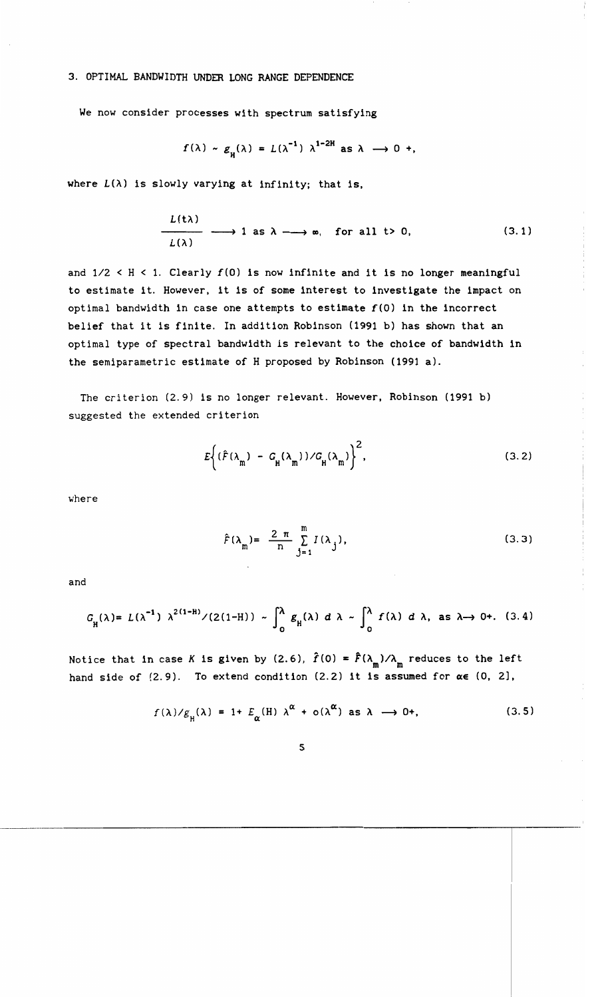#### 3. OPTIMAL BANDWIDTH UNDER LONG RANGE DEPENDENCE

We now consider processes with spectrum satisfying

$$
f(\lambda) \sim g_{\mu}(\lambda) = L(\lambda^{-1}) \lambda^{1-2H}
$$
 as  $\lambda \to 0$  +,

where  $L(\lambda)$  is slowly varying at infinity; that is,

$$
L(t\lambda) \longrightarrow 1 \text{ as } \lambda \longrightarrow \infty, \text{ for all } t > 0,
$$
 (3.1)

and 1/2 < H < 1. *Clearly* f(O) is now infinite and it is no longer meaningful to estimate it. However, it is of some interest to investigate the impact on optimal bandwidth in case one attempts to estimate  $f(0)$  in the incorrect belief that it is finite. In addition Robinson (1991 b) has shown that an optimal type of spectral bandwidth is relevant to the choice of bandwidth in the semiparametric estimate of H proposed by Robinson (1991 a).

The criterion (2.9) is no longer relevant. However, Robinson (1991 b) suggested the extended criterion

$$
E\left\{ (\hat{F}(\lambda_{m}) - G_{H}(\lambda_{m})) / G_{H}(\lambda_{m}) \right\}^{2},
$$
\n(3.2)

where

$$
\hat{F}(\lambda_{\mathbf{m}}) = \frac{2 \pi}{\mathbf{n}} \sum_{\mathbf{j}=1}^{\mathbf{m}} I(\lambda_{\mathbf{j}}),
$$
\n(3.3)

and

$$
G_{\rm H}(\lambda) = L(\lambda^{-1}) \ \lambda^{2(1-H)} / (2(1-H)) \sim \int_0^{\lambda} g_{\rm H}(\lambda) \ d\lambda \sim \int_0^{\lambda} f(\lambda) \ d\lambda, \text{ as } \lambda \to 0+.
$$
 (3.4)

Notice that in case *K* is given by (2.6),  $\hat{f}(0) = \hat{f}(\lambda_m)/\lambda_m$  reduces to the left hand side of  $(2.9)$ . To extend condition  $(2.2)$  it is assumed for  $\alpha \in (0, 2]$ ,

$$
f(\lambda)/g_{\mu}(\lambda) = 1 + E_{\alpha}(H) \lambda^{\alpha} + o(\lambda^{\alpha}) \text{ as } \lambda \longrightarrow 0+, \qquad (3.5)
$$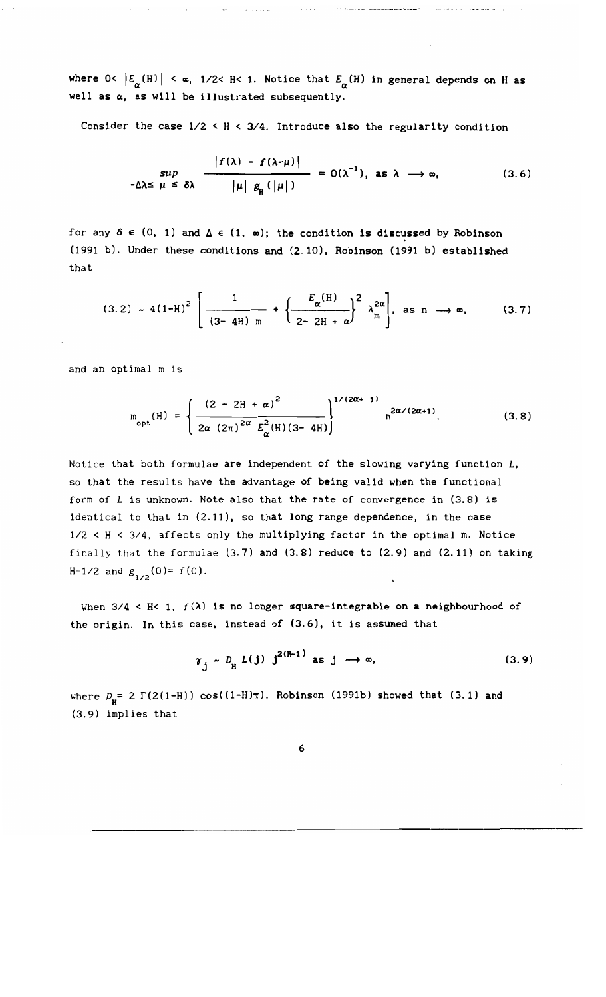where  $0 < |E_\alpha(H)| < \infty$ , 1/2< H< 1. Notice that  $E_\alpha(H)$  in general depends on H as well as  $\alpha$ , as will be illustrated subsequently.

Consider the case  $1/2 < H < 3/4$ . Introduce also the regularity condition

$$
\sup_{-\Delta\lambda \leq \mu \leq \delta\lambda} \frac{|f(\lambda) - f(\lambda - \mu)|}{|\mu| g_{\mu}(|\mu|)} = O(\lambda^{-1}), \text{ as } \lambda \to \infty,
$$
 (3.6)

for any  $\delta \in (0, 1)$  and  $\Delta \in (1, \infty)$ ; the condition is discussed by Robinson (1991 b). Under these conditions and (2.10), Robinson (1991 b) established that

$$
(3.2) \sim 4(1-H)^2 \left[ \frac{1}{(3-4H) m} + \left\{ \frac{E_{\alpha}(H)}{2-2H + \alpha} \right\}^2 \lambda_m^{2\alpha} \right], \text{ as } n \longrightarrow \infty,
$$
 (3.7)

and an optimal m is

$$
m_{\text{opt}}(H) = \left\{ \frac{(2 - 2H + \alpha)^2}{2\alpha (2\pi)^{2\alpha} E_{\alpha}^2(H)(3 - 4H)} \right\}^{1/(2\alpha + 1)} n^{2\alpha/(2\alpha + 1)}.
$$
 (3.8)

Notice that both formulae are independent of the slowing varying function  $L$ , so that the results have the advantage of being valid when the functional form of L is unknown. Note also that the rate of convergence in (3.8) is identical to that in (2.11), so that long range dependence, in the case 1/2 < H < 3/4, affects only the multiplying factor in the optimal m. Notice finally that the formulae (3.7) and (3.8) reduce to (2.9) and (2.11) on taking H=1/2 and  $g_{1/2}^1(0) = f(0)$ .

When  $3/4$  < H< 1,  $f(\lambda)$  is no longer square-integrable on a neighbourhood of the origin. In this case, instead of (3.6), it is assumed that

$$
\gamma_j \sim D_{\rm H} L(j) j^{2(H-1)} \text{ as } j \longrightarrow \infty,
$$
 (3.9)

where  $D_{\rm H} = 2 \Gamma(2(1-H)) \cos((1-H)\pi)$ . Robinson (1991b) showed that (3.1) and (3.9) implies that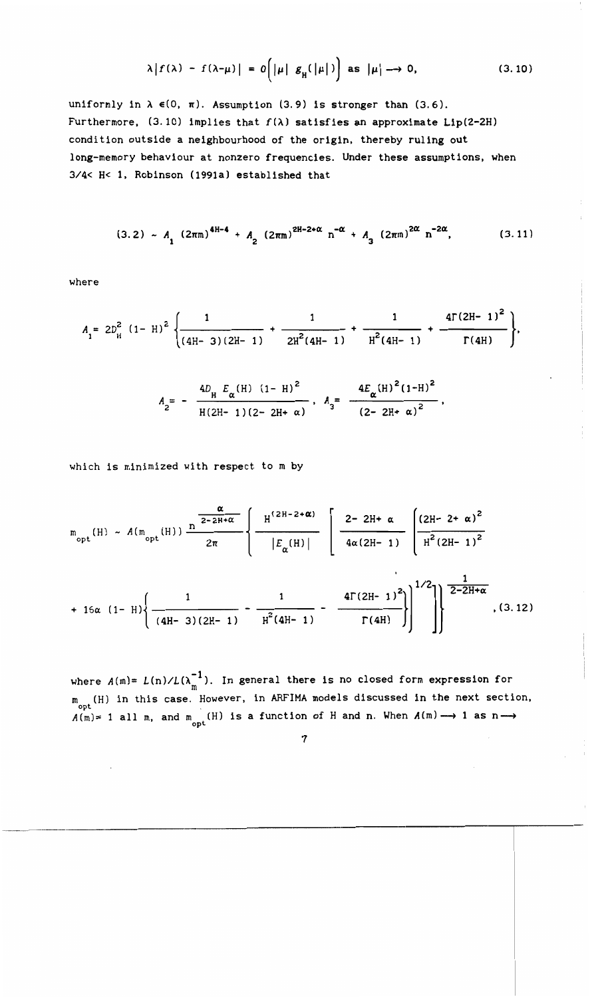$$
\lambda |f(\lambda) - f(\lambda - \mu)| = O\left(|\mu| g_{\mu}(|\mu|)\right) \text{ as } |\mu| \to 0,
$$
 (3.10)

uniformly in  $\lambda \in (0, \pi)$ . Assumption (3.9) is stronger than (3.6). Furthermore, (3.10) implies that  $f(\lambda)$  satisfies an approximate Lip(2-2H) condition outside a neighbourhood of the origin, thereby ruling out long-memory behaviour at nonzero frequencies. Under these assumptions, when 3/4< H< 1, Robinson (1991a) established that

$$
(3.2) \sim A_1 (2\pi m)^{4H-4} + A_2 (2\pi m)^{2H-2+\alpha} n^{-\alpha} + A_3 (2\pi m)^{2\alpha} n^{-2\alpha}, \qquad (3.11)
$$

where

$$
A_{1} = 2D_{H}^{2} (1 - H)^{2} \left\{ \frac{1}{(4H - 3)(2H - 1)} + \frac{1}{2H^{2}(4H - 1)} + \frac{1}{H^{2}(4H - 1)} + \frac{4\Gamma(2H - 1)^{2}}{\Gamma(4H)} \right\},
$$

$$
A_{2} = -\frac{4D_{H} E_{\alpha} (H) (1-H)^{2}}{H (2H - 1) (2-2H + \alpha)}, A_{3} = \frac{4E_{\alpha} (H)^{2} (1-H)^{2}}{(2-2H + \alpha)^{2}}
$$

which is minimized with respect to m by

$$
m_{\text{opt}}(H) \sim A(m_{\text{opt}}(H)) \frac{\frac{\alpha}{2-2H+\alpha}}{2\pi} \left\{ \frac{H^{(2H-2+\alpha)}}{|E_{\alpha}(H)|} \left[ \frac{2-2H+\alpha}{4\alpha(2H-1)} \left[ \frac{(2H-2+\alpha)^{2}}{H^{2}(2H-1)^{2}} \right] \right. \right.
$$

$$
+ 16\alpha (1 - H) \left\{ \frac{1}{(4H - 3)(2H - 1)} - \frac{1}{H^{2}(4H - 1)} - \frac{4\Gamma(2H - 1)^{2}}{\Gamma(4H)} \right\}^{1/2} \right\}^{\frac{1}{2 - 2H + \alpha}}, (3.12)
$$

where  $A(m) = L(n)/L(\lambda_m^{-1})$ . In general there is no closed form expression for m  $m_{n+1}$  (H) in this case. However, in ARFIMA models discussed in the next section,  $A(m)=1$  all m, and  $m_{opt}$  (H) is a function of H and n. When  $A(m) \longrightarrow 1$  as n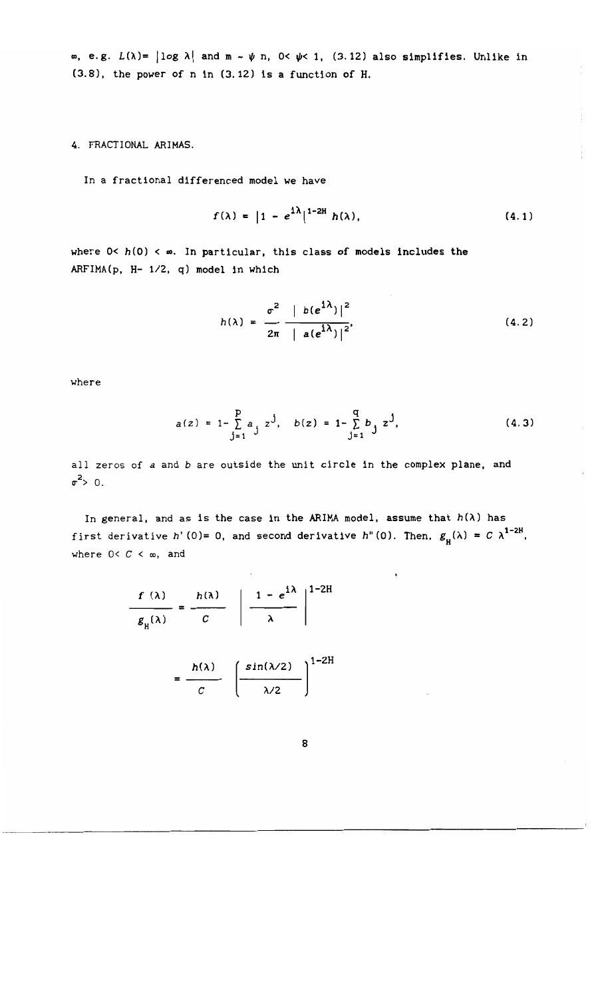$\infty$ , e.g.  $L(\lambda) = |\log \lambda|$  and  $m \sim \psi$  n,  $0 < \psi < 1$ , (3.12) also simplifies. Unlike in (3.8), the power of n in (3.12) is a function of H.

4. FRACTIONAL ARIMAS.

In a fractional differenced model we have

$$
f(\lambda) = |1 - e^{i\lambda}|^{1-2H} h(\lambda), \qquad (4.1)
$$

where  $0 < h(0) < \infty$ . In particular, this class of models includes the ARFIMA(p, H- 1/2, q) model in which

$$
h(\lambda) = \frac{\sigma^2}{2\pi} \frac{|b(e^{i\lambda})|^2}{|a(e^{i\lambda})|^2},
$$
 (4.2)

where

$$
a(z) = 1 - \sum_{j=1}^{p} a_j z^j, \quad b(z) = 1 - \sum_{j=1}^{q} b_j z^j,
$$
 (4.3)

all zeros of *a* and *b* are outside the unit circle in the complex plane, and  $\sigma^2$  O.

In general, and as is the case in the ARIMA model, assume that  $h(\lambda)$  has first derivative *h*'(0)= 0, and second derivative *h*"(0). Then,  $g_{\rm H}(\lambda) = C \lambda^{1-2\text{H}}$ , where  $0 < C < \infty$ , and

$$
\frac{f(\lambda)}{g_{\mu}(\lambda)} = \frac{h(\lambda)}{C} \left| \frac{1 - e^{i\lambda}}{\lambda} \right|^{1-2H}
$$

$$
= \frac{h(\lambda)}{c} \left( \frac{\sin(\lambda/2)}{\lambda/2} \right)^{1-2H}
$$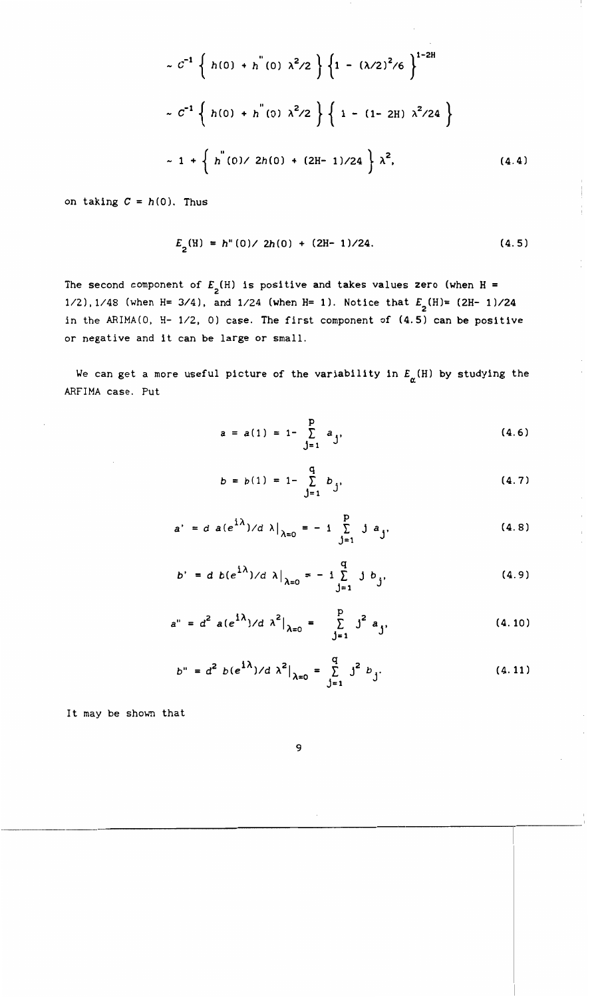$$
\sim C^{-1} \left\{ h(0) + h^{(0)} \lambda^2 / 2 \right\} \left\{ 1 - (\lambda/2)^2 / 6 \right\}^{1-2H}
$$
  

$$
\sim C^{-1} \left\{ h(0) + h^{(0)} \lambda^2 / 2 \right\} \left\{ 1 - (1 - 2H) \lambda^2 / 24 \right\}
$$
  

$$
\sim 1 + \left\{ h^{(0)} / 2h(0) + (2H - 1) / 24 \right\} \lambda^2,
$$
 (4.4)

on taking  $C = h(0)$ . Thus

$$
E_2(H) = h''(0) / 2h(0) + (2H - 1)/24.
$$
 (4.5)

The second component of  $E_{\mathbf{2}}(\text{H})$  is positive and takes values zero (when H = *1/2),1/48* (when H= 3/4), and 1/24 (when H= 1). Notice that  $E_{2}(\text{H}) = (2\text{H}-1)/24$ in the ARIMA(O, H- *1/2,* 0) case. The first component of (4.5) can be positive or negative and it can be large or small.

We can get a more useful picture of the variability in  $E_{\boldsymbol{\alpha}}(\text{H})$  by studying the ARFIMA case. Put

$$
a = a(1) = 1 - \sum_{j=1}^{p} a_j,
$$
 (4.6)

$$
b = b(1) = 1 - \sum_{j=1}^{q} b_j,
$$
 (4.7)

$$
a' = d \ a(e^{i\lambda})/d \lambda|_{\lambda=0} = -i \sum_{j=1}^{p} j a_{j}, \qquad (4.8)
$$

$$
b' = d b(e^{i\lambda})/d \lambda|_{\lambda=0} = -i \sum_{j=1}^{q} j b_j,
$$
 (4.9)

$$
a'' = d^2 a(e^{i\lambda})/d \lambda^2|_{\lambda=0} = \sum_{j=1}^p j^2 a_j,
$$
 (4.10)

$$
b'' = d^2 b(e^{i\lambda})/d \lambda^2|_{\lambda=0} = \sum_{j=1}^q j^2 b_j.
$$
 (4.11)

It may be shown that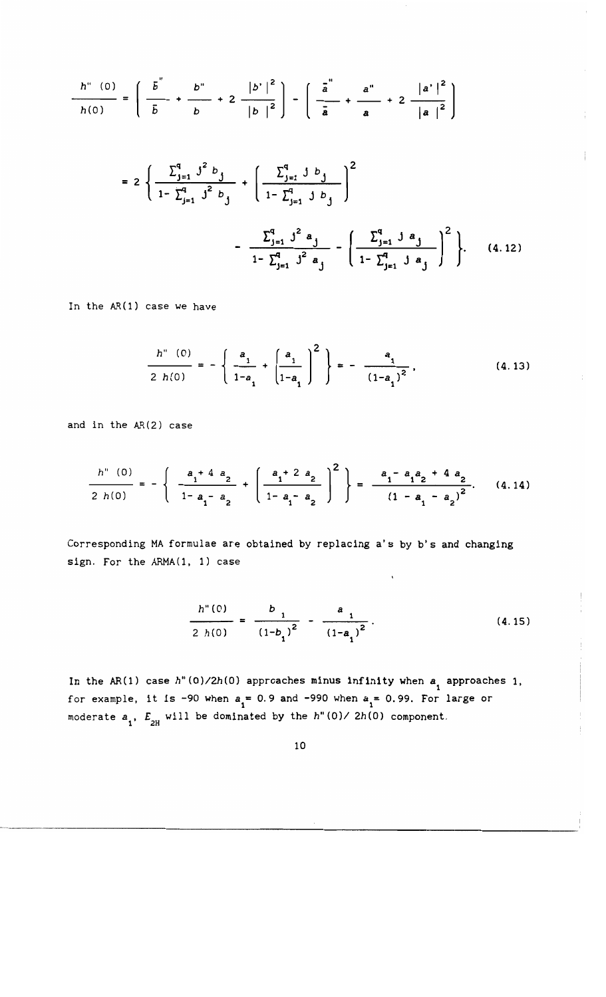$$
\frac{h''(0)}{h(0)} = \left(\frac{\overline{b}}{|\overline{b}|} + \frac{\overline{b}''}{|\overline{b}|} + 2\frac{|\overline{b}'|^{2}}{|\overline{b}|^{2}}\right) - \left(\frac{\overline{a}}{|\overline{a}|} + \frac{\overline{a}''}{|\overline{a}|} + 2\frac{|\overline{a}'|^{2}}{|\overline{a}|^{2}}\right)
$$

$$
= 2\left\{\frac{\sum_{j=1}^{q} j^{2} b_{j}}{1 - \sum_{j=1}^{q} j^{2} b_{j}} + \left(\frac{\sum_{j=1}^{q} j b_{j}}{1 - \sum_{j=1}^{q} j b_{j}}\right)^{2} - \frac{\sum_{j=1}^{q} j^{2} a_{j}}{1 - \sum_{j=1}^{q} j^{2} a_{j}} - \left(\frac{\sum_{j=1}^{q} j a_{j}}{1 - \sum_{j=1}^{q} j a_{j}}\right)^{2}\right\}. \quad (4.12)
$$

In the AR(l) case we have

$$
\frac{h''(0)}{2 h(0)} = -\left\{\frac{a_1}{1-a_1} + \left(\frac{a_1}{1-a_1}\right)^2\right\} = -\frac{a_1}{(1-a_1)^2},
$$
\n(4.13)

 $\overline{1}$ 

 $\overline{\phantom{a}}$  $\frac{1}{4}$ 

Ť

 $\bar{1}$ 

and in the AR(2) case

$$
\frac{h''(0)}{2h(0)} = -\left\{ \frac{a_1^2 + 4a_2}{1 - a_1 - a_2} + \left( \frac{a_1^2 + 2a_2}{1 - a_1 - a_2} \right)^2 \right\} = \frac{a_1^2 - a_1^2 + 4a_2}{(1 - a_1 - a_2)^2}.
$$
 (4.14)

Corresponding MA formulae are obtained by replacing a's by b's and changing sign. For the ARMA(l, 1) case

$$
\frac{h''(0)}{2 h(0)} = \frac{b_1}{(1-b_1)^2} - \frac{a_1}{(1-a_1)^2}.
$$
 (4.15)

 $\bar{\mathbf{v}}$ 

In the AR(1) case  $h''(0)/2h(0)$  approaches minus infinity when  $a_{_1}$  approaches 1, for example, it is -90 when  $a_1 = 0.9$  and -990 when  $a_1 = 0.99$ . For large or moderate  $a_1$ ,  $E_{2H}$  will be dominated by the  $h''(0)/2h(0)$  component.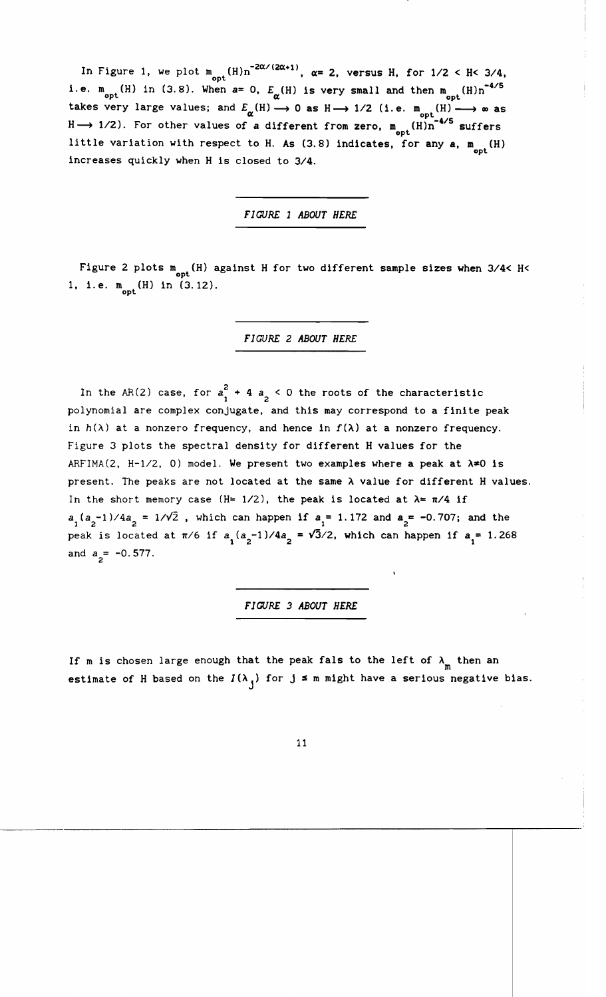In Figure 1, we plot  $m_{\text{opt}}(H)n^{-2\alpha/(2\alpha+1)}$ ,  $\alpha=2$ , versus H, for  $1/2 < H < 3/4$ , i.e.  $m_{\text{opt}}(H)$  in (3.8). When  $a=0$ ,  $E_{\alpha}(H)$  is very small and then  $m_{\text{opt}}(H)n^{-4/5}$ takes very large values; and  $E_{\alpha}(\text{H}) \longrightarrow 0$  as  $\text{H} \longrightarrow 1/2$  (i.e.  $\text{m}_{\text{opt}}(\text{H}) \longrightarrow \infty$  as  $H \longrightarrow 1/2$ ). For other values of a different from zero,  $m_{\text{opt}}(H)n^{-4/5}$  suffers little variation with respect to H. As (3.8) indicates, for any  $a$ ,  $m_{opt}$  (H) increases quickly when H is closed to 3/4.

*FIGURE 1 ABOUT HERE* 

Figure 2 plots  $m_{\text{out}}(H)$  against H for two different sample sizes when 3/4< H< 1, i.e.  $m_{\text{opt}}(H)$  in (3.12).

*FIGURE* 2 *ABOUT HERE* 

In the AR(2) case, for  $a_1^2 + 4 a_2 < 0$  the roots of the characteristic polynomial are complex conjugate. and this may correspond to a finite peak in  $h(\lambda)$  at a nonzero frequency, and hence in  $f(\lambda)$  at a nonzero frequency. Figure 3 plots the spectral density for different H values for the ARFIMA(2, H-1/2, 0) model. We present two examples where a peak at  $\lambda \neq 0$  is present. The peaks are not located at the same  $\lambda$  value for different H values. In the short memory case (H= 1/2), the peak is located at  $\lambda = \pi/4$  if  $a_1(a_2-1)/4a_2 = 1/\sqrt{2}$ , which can happen if  $a_1 = 1.172$  and  $a_2 = -0.707$ ; and the peak is located at  $\pi/6$  if  $a_1(a_2-1)/4a_2 = \sqrt{3}/2$ , which can happen if  $a_1 = 1.268$ and  $a_2 = -0.577$ .

*FI GURE* 3 *ABOUT HERE* 

If m is chosen large enough that the peak fals to the left of  $\lambda_{\text{m}}$  then an estimate of H based on the  $I(\lambda_1)$  for  $j \leq m$  might have a serious negative bias.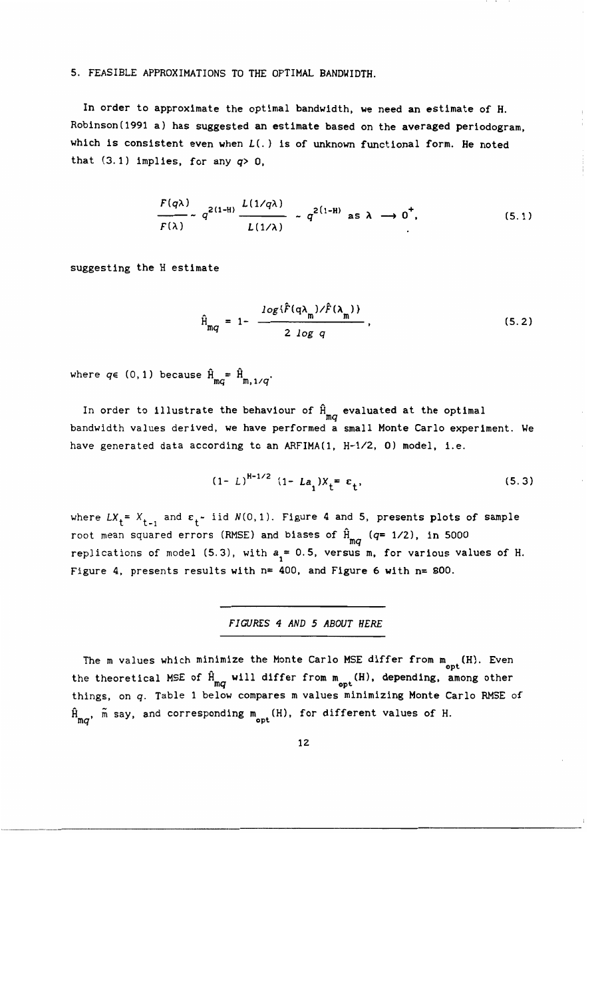## 5. FEASIBLE APPROXIMATIONS TO THE OPTIMAL BANDWIDTH.

In order to approximate the optimal bandwidth, we need an estimate of H. Robinson(1991 a) has suggested an estimate based on the averaged periodogram, which is consistent even when *L(.)* is of unknown functional form. He noted that  $(3.1)$  implies, for any  $q > 0$ .

$$
\frac{F(q\lambda)}{F(\lambda)} \sim q^{2(1-H)} \frac{L(1/q\lambda)}{L(1/\lambda)} \sim q^{2(1-H)} \text{ as } \lambda \to 0^+, \tag{5.1}
$$

suggesting the H estimate

$$
\hat{H}_{mq} = 1 - \frac{\log \{\hat{F}(q\lambda_m)/\hat{F}(\lambda_m)\}}{2 \log q},
$$
\n(5.2)

where  $q \in (0, 1)$  because  $\hat{H}_{mq} = \hat{H}_{m, 1/q}$ .

In order to illustrate the behaviour of  $\hat{H}_{mq}$  evaluated at the optimal bandwidth values derived, we have performed a small Monte Carlo experiment. We have generated data according to an ARFIMA(l, *H-1/2,* 0) model, i.e.

$$
(1 - L)^{H-1/2} (1 - La_1)X_t = \varepsilon_t,
$$
 (5.3)

where  $LX_t = X_{t-1}$  and  $\varepsilon_t \sim$  iid  $N(0,1)$ . Figure 4 and 5, presents plots of sample root mean squared errors (RMSE) and biases of  $\hat{H}_{mq}^{\text{}}$  (*q*= 1/2), in 5000 replications of model (5.3), with  $a_1 = 0.5$ , versus m, for various values of H. Figure 4, presents results with n= 400, and Figure 6 with n= 800.

*FIGURES* 4 *AND* 5 *ABOUT HERE* 

The m values which minimize the Monte Carlo MSE differ from  $m_{\text{opt}}(H)$ . Even the theoretical MSE of  $\hat{H}_{mq}$  will differ from  $m_{opt}$  (H), depending, among other things, on *q.* Table 1 below compares m values minimizing Monte Carlo RMSE of  $\hat{H}_{mq}$ ,  $\tilde{m}$  say, and corresponding  $m_{opt}$  (H), for different values of H.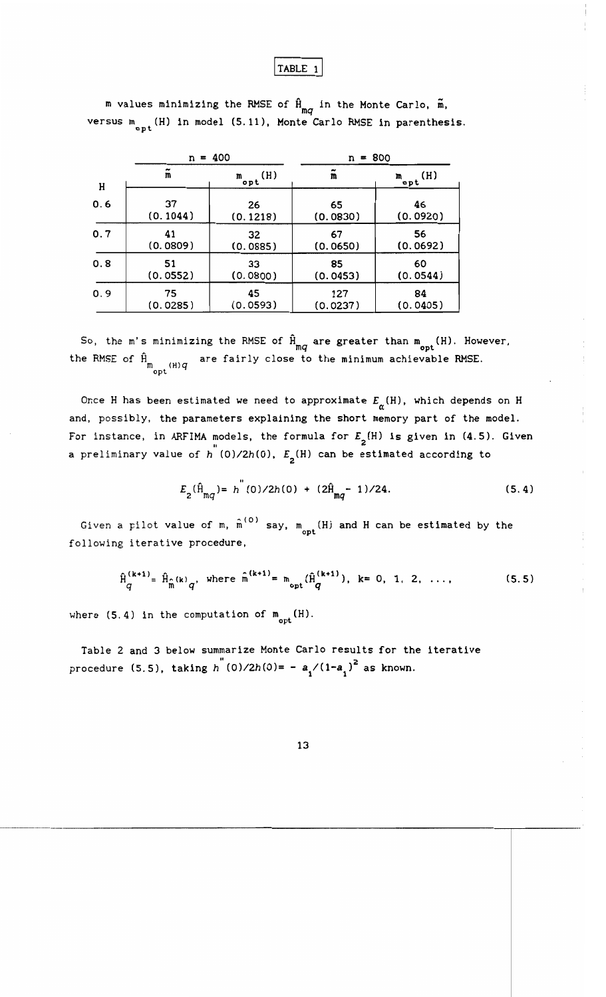# TABLE 1

|     | n                    | $= 400$                         | $n = 800$      |                                                            |  |  |
|-----|----------------------|---------------------------------|----------------|------------------------------------------------------------|--|--|
| Η   | $\tilde{\mathbf{m}}$ | $\mathcal{L}_{\mathbf{opt}}(H)$ | m              | $\mathbf{r}_{\text{opt}}$ <sup>(H)</sup><br>46<br>(0.0920) |  |  |
| 0.6 | 37<br>(0.1044)       | 26<br>(0.1218)                  | 65<br>(0.0830) |                                                            |  |  |
| 0.7 | 41                   | 32                              | 67             | 56                                                         |  |  |
|     | (0.0809)             | (0.0885)                        | (0.0650)       | (0.0692)                                                   |  |  |
| 0.8 | 51                   | 33                              | 85             | 60                                                         |  |  |
|     | (0.0552)             | (0.0800)                        | (0.0453)       | (0.0544)                                                   |  |  |
| 0.9 | 75                   | 45                              | 127            | 84                                                         |  |  |
|     | (0.0285)             | (0.0593)                        | (0.0237)       | (0.0405)                                                   |  |  |

**m** values minimizing the RMSE of  $\hat{H}_{mq}$  in the Monte Carlo,  $\tilde{m}$ , versus  $m_{n+1}$  (H) in model (5.11), Monte Carlo RMSE in parenthesis.

So, the m's minimizing the RMSE of  $\hat{H}_{mq}$  are greater than  $m_{opt}(H)$ . However, the RMSE of  $\hat{H}_{m}$  are fairly close to the minimum achievable RMSE.  $m_{\rm opt}$  (H) $q$ 

Once H has been estimated we need to approximate  $E_{\boldsymbol{\alpha}}(\texttt{H})$ , which de**pen**ds on **H** and, possibly, the parameters explaining the short memory part of the model. For instance, in ARFIMA models, the formula for  $E_{\text{o}}(H)$  is given in (4.5). Given a preliminary value of *h* (0)/2*h*(0),  $E_{2}$ (H) can be estimated according to

$$
E_2(\hat{H}_{mq}) = h^{(0)}/2h(0) + (2\hat{H}_{mq} - 1)/24.
$$
 (5.4)

Given a pilot value of m,  $\hat{\text{m}}^{(\texttt{O})}$  say,  $\text{m}_{\texttt{opt}}(\texttt{H})$  and H can be estimated by the following iterative procedure,

$$
\hat{H}_{q}^{(k+1)} = \hat{H}_{\hat{m}}(k)_{q}, \text{ where } \hat{m}^{(k+1)} = m_{\text{opt}}(\hat{H}_{q}^{(k+1)}), k = 0, 1, 2, ..., \qquad (5.5)
$$

where  $(5.4)$  in the computation of  $m_{\text{opt}}(H)$ .

Table 2 and 3 below summarize Monte Carlo results for the iterative procedure (5.5), taking *h* (0)/2*h*(0)= -  $a_1/(1-a_1)^2$  as known.

13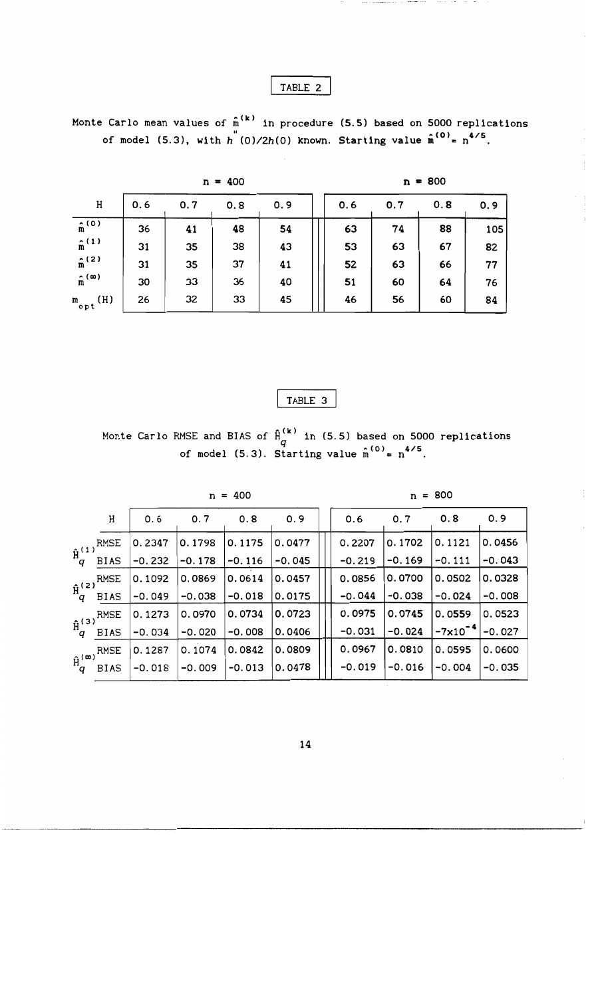# TABLE 2

Monte Carlo mean values of  $\hat{\mathfrak{n}}^{(k)}$  in procedure (5.5) based on 5000 replications of model (5.3), with  $h^{''}(0)/2h(0)$  known. Starting value  $\hat{n}^{(0)} = n^{4/5}$ .

| $n = 400$            |     |     |     |     |  | $n = 800$ |     |     |     |  |
|----------------------|-----|-----|-----|-----|--|-----------|-----|-----|-----|--|
| Η                    | 0.6 | 0.7 | 0.8 | 0.9 |  | 0.6       | 0.7 | 0.8 | 0.9 |  |
| (0)<br>m             | 36  | 41  | 48  | 54  |  | 63        | 74  | 88  | 105 |  |
| $\hat{m}^{(1)}$      | 31  | 35  | 38  | 43  |  | 53        | 63  | 67  | 82  |  |
| $\hat{m}^{(2)}$      | 31  | 35  | 37  | 41  |  | 52        | 63  | 66  | 77  |  |
| $\hat{m}^{(\infty)}$ | 30  | 33  | 36  | 40  |  | 51        | 60  | 64  | 76  |  |
| (H)<br>m<br>"opt     | 26  | 32  | 33  | 45  |  | 46        | 56  | 60  | 84  |  |

TABLE 3

Monte Carlo RMSE and BIAS of  $\hat{H}^{(k)}_{\sigma}$  in (5.5) based on 5000 replications of model (5.3). Starting value  $\hat{\text{m}}^{(0)}$  =  $\text{n}^{4/5}$ 

|  |  | 400 |
|--|--|-----|
|--|--|-----|

 $n = 800$ 

|                          | H           | 0.6      | 0.7      | 0.8      | 0.9      | 0.6      | 0.7      | 0.8          | 0.9      |
|--------------------------|-------------|----------|----------|----------|----------|----------|----------|--------------|----------|
|                          | RMSE        | 0.2347   | 0.1798   | 0.1175   | 0.0477   | 0.2207   | 0.1702   | 0.1121       | 0.0456   |
| $\hat{H}_q^{(1)}$        | <b>BIAS</b> | $-0.232$ | $-0.178$ | $-0.116$ | $-0.045$ | $-0.219$ | $-0.169$ | $-0.111$     | $-0.043$ |
|                          | RMSE        | 0.1092   | 0.0869   | 0.0614   | 0.0457   | 0.0856   | 0.0700   | 0.0502       | 0.0328   |
| $\hat{H}_q^{(2)}$        | <b>BIAS</b> | $-0.049$ | $-0.038$ | $-0.018$ | 0.0175   | $-0.044$ | $-0.038$ | $-0.024$     | $-0.008$ |
|                          | RMSE        | 0.1273   | 0.0970   | 0.0734   | 0.0723   | 0.0975   | 0.0745   | 0.0559       | 0.0523   |
| $\hat{H}_q^{(3)}$        | <b>BIAS</b> | $-0.034$ | $-0.020$ | $-0.008$ | 0.0406   | $-0.031$ | $-0.024$ | $-7x10^{-1}$ | $-0.027$ |
|                          | RMSE        | 0.1287   | 0.1074   | 0.0842   | 0.0809   | 0.0967   | 0.0810   | 0.0595       | 0.0600   |
| $\hat{H}_{q}^{(\infty)}$ | <b>BIAS</b> | $-0.018$ | $-0.009$ | $-0.013$ | 0.0478   | $-0.019$ | $-0.016$ | $-0.004$     | $-0.035$ |
|                          |             |          |          |          |          |          |          |              |          |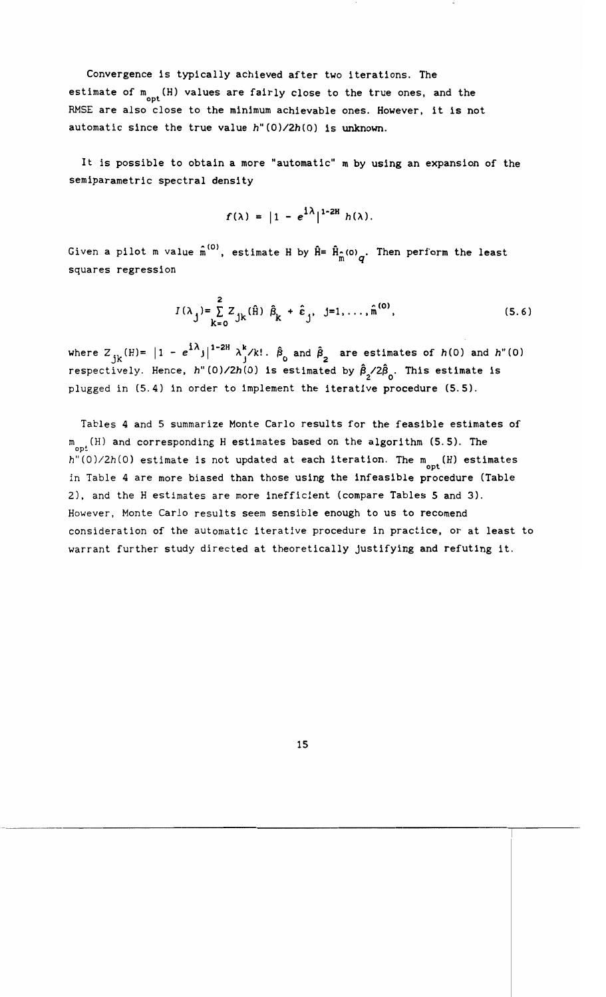Convergence is typically achieved after two iterations. The estimate of  $m_{\rm opt}^{\rm (H)}$  values are fairly close to the true ones, and the RMSE are also close to the minimum achievable ones. However, it is not automatic since the true value *h"(O)/2h(O)* is unknown.

It is possible to obtain a more "automatic" m by using an expansion of the semiparametric spectral density

$$
f(\lambda) = |1 - e^{i\lambda}|^{1-2H} h(\lambda).
$$

Given a pilot m value  $\hat{\text{n}}^{(\text{o})}$ , estimate H by  $\hat{\texttt{H}} = \hat{\texttt{H}}_{\hat{\texttt{m}}}$ (o) $_q$ . Then perform the least squares regression

$$
I(\lambda_j) = \sum_{k=0}^{2} Z_{jk}(\hat{H}) \hat{\beta}_k + \hat{\epsilon}_j, \quad j = 1, ..., \hat{m}^{(0)},
$$
 (5.6)

where  $Z_{jk}(H) = |1 - e^{i\lambda}j|^{1-2H} \lambda_j^k/k!$ .  $\hat{\beta}_0$  and  $\hat{\beta}_2$  are estimates of  $h(0)$  and  $h''(0)$ respectively. Hence, *h*"(0)/2*h*(0) is estimated by  $\hat{B}_{2}$ /2 $\hat{B}_{0}$ . This estimate is plugged in (5.4) in order to implement the iterative procedure (5.5).

Tables 4 and 5 summarize Monte Carlo results for the feasible estimates of  $m_{\rm opt}$  (H) and corresponding H estimates based on the algorithm (5.5). The h"(0)/2h(0) estimate is not updated at each iteration. The  $\mathfrak{m}_{\textbf{opt}}^{\text{}}(\text{H})$  estimates in Table 4 are more biased than those using the infeasible procedure (Table 2), and the H estimates are more inefficient (compare Tables 5 and 3). However, Monte Carlo results seem sensible enough to us to recomend consideration of the automatic iterative procedure in practice, or at least to warrant further study directed at theoretically justifying and refuting it.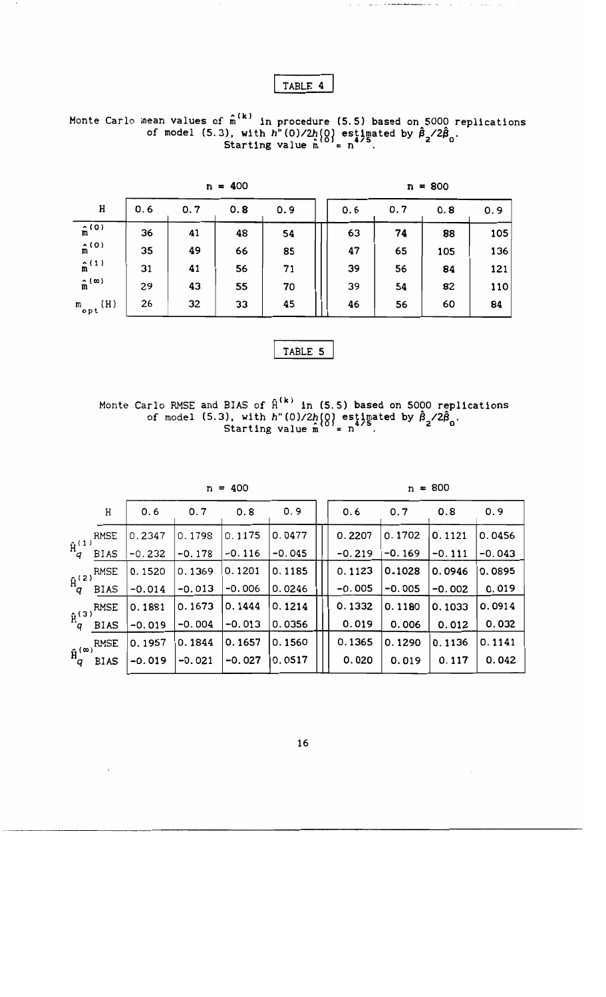TABLE 4

Monte Carlo mean values of  $\hat{\bm{n}}^{(\bm{k})}$  in procedure (5.5) based on 5000 replications of model (5.3), with  $h''(0)/2h(0)$  estimated by  $\hat{\beta}_2/2\hat{\beta}_0$ .<br>Starting value  $\hat{m}^{(0)} = n^{4/5}$ .

| $n = 400$                 |     |     |     |     | $n = 800$ |     |     |     |
|---------------------------|-----|-----|-----|-----|-----------|-----|-----|-----|
| H                         | 0.6 | 0.7 | 0.8 | 0.9 | 0.6       | 0.7 | 0.8 | 0.9 |
| $\hat{m}^{(0)}$           | 36  | 41  | 48  | 54  | 63        | 74  | 88  | 105 |
| $\hat{\mathbf{n}}^{(0)}$  | 35  | 49  | 66  | 85  | 47        | 65  | 105 | 136 |
| $\hat{m}^{(1)}$           | 31  | 41  | 56  | 71  | 39        | 56  | 84  | 121 |
| $\hat{m}^{(\infty)}$      | 29  | 43  | 55  | 70  | 39        | 54  | 82  | 110 |
| (H)<br>$m$ <sub>opt</sub> | 26  | 32  | 33  | 45  | 46        | 56  | 60  | 84  |

TABLE 5

Monte Carlo RMSE and BIAS of  $\mathbf{\hat{H}^{(k)}}$  in (5.5) based on 5000 replications of model (5.3), with  $h''(0)/2h(0)$  estimated by  $\hat{\beta}_2/2\hat{\beta}_0$ .<br>Starting value  $\hat{m}^{0} = n^{4/5}$ .

| г<br>ν |
|--------|
|        |

 $n = 800$ 

and and the

 $\mathcal{A}$  , which is a simple polarization of  $\mathcal{A}$ 

|                        | Η           | 0.6      | 0.7      | 0.8      | 0.9      | 0.6      | 0.7      | 0.8      | 0.9      |
|------------------------|-------------|----------|----------|----------|----------|----------|----------|----------|----------|
|                        | RMSE        | 0.2347   | 0.1798   | 0.1175   | 0.0477   | 0.2207   | 0.1702   | 0.1121   | 0.0456   |
| $\hat{H}_q^{(1)}$      | <b>BIAS</b> | $-0.232$ | $-0.178$ | $-0.116$ | $-0.045$ | $-0.219$ | $-0.169$ | $-0.111$ | $-0.043$ |
|                        | <b>RMSE</b> | 0.1520   | 0.1369   | 0.1201   | 0.1185   | 0.1123   | 0.1028   | 0.0946   | 0.0895   |
| $\hat{H}_q^{(2)}$      | <b>BIAS</b> | $-0.014$ | $-0.013$ | $-0.006$ | 0.0246   | $-0.005$ | $-0.005$ | $-0.002$ | 0.019    |
|                        | <b>RMSE</b> | 0.1881   | 0.1673   | 0.1444   | 0.1214   | 0.1332   | 0.1180   | 0.1033   | 0.0914   |
| $\hat{H}_q^{(3)}$      | <b>BIAS</b> | $-0.019$ | $-0.004$ | $-0.013$ | 0.0356   | 0.019    | 0.006    | 0.012    | 0.032    |
|                        | <b>RMSE</b> | 0.1957   | 0.1844   | 0.1657   | 0.1560   | 0.1365   | 0.1290   | 0.1136   | 0.1141   |
| $\hat{H}_q^{(\infty)}$ | <b>BIAS</b> | $-0.019$ | $-0.021$ | $-0.027$ | 0.0517   | 0.020    | 0.019    | 0.117    | 0.042    |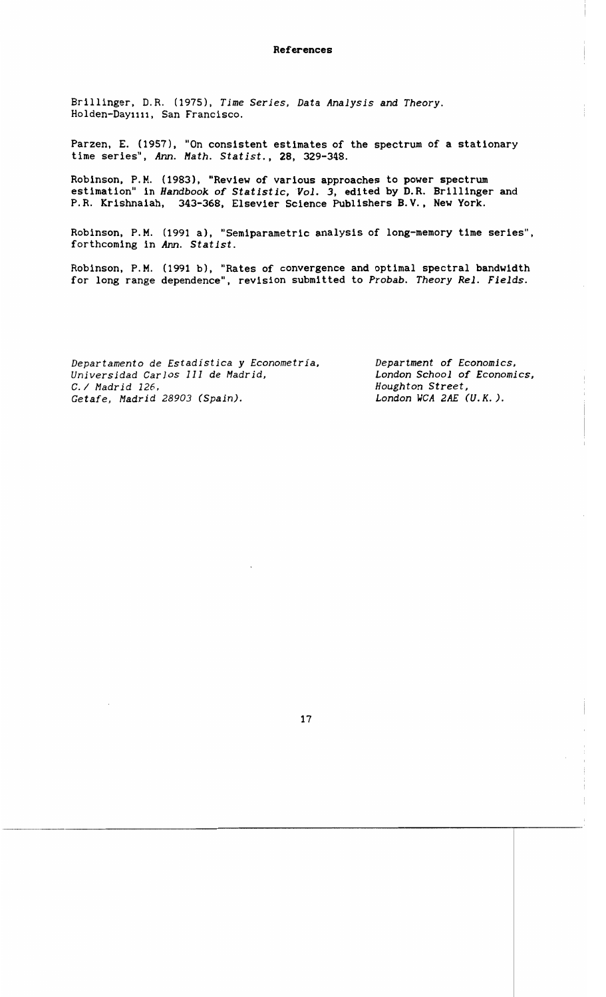#### **References**

Brillinger, D.R. (1975). *Time Series,* Data *Analysis* and *Theory.*  Holden-Day1111, San Francisco.

Parzen, E. (1957), "On consistent estimates of the spectrum of a stationary time series", *Ann. Hath. Statist.,* 28, 329-348.

Robinson, P.M. (1983), "Review of various approaches to power spectrum estimation" in *Handbook of Statistic*, Vol. 3, edited by D.R. Brillinger and P.R. Krishnaiah, 343-368, Elsevier Science Publishers B.V., New York.

Robinson, P.M. (1991 a), "Semiparametric analysis of long-memory time series", forthcoming in *Ann. Statlst.* 

Robinson, P. M. (1991 b), "Rates of convergence and optimal spectral bandwidth for long range dependence", revision submitted to *Probab. Theory ReI. Fields.* 

*Departamento* de *Estadistica* y *Econometria, Department of Economics, Universidad Carlos* 111 de *Madrid, London School of Economics, Getafe, Madrid 28903 (Spain).* 

*Houghton Street,<br>London WCA 2AE (U.K.).*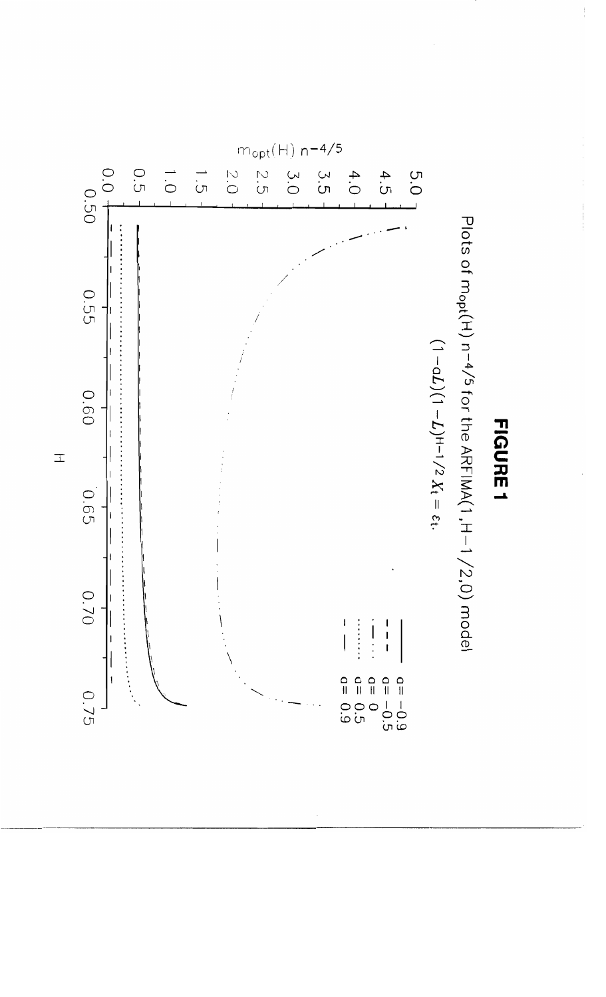

**FIGURE1**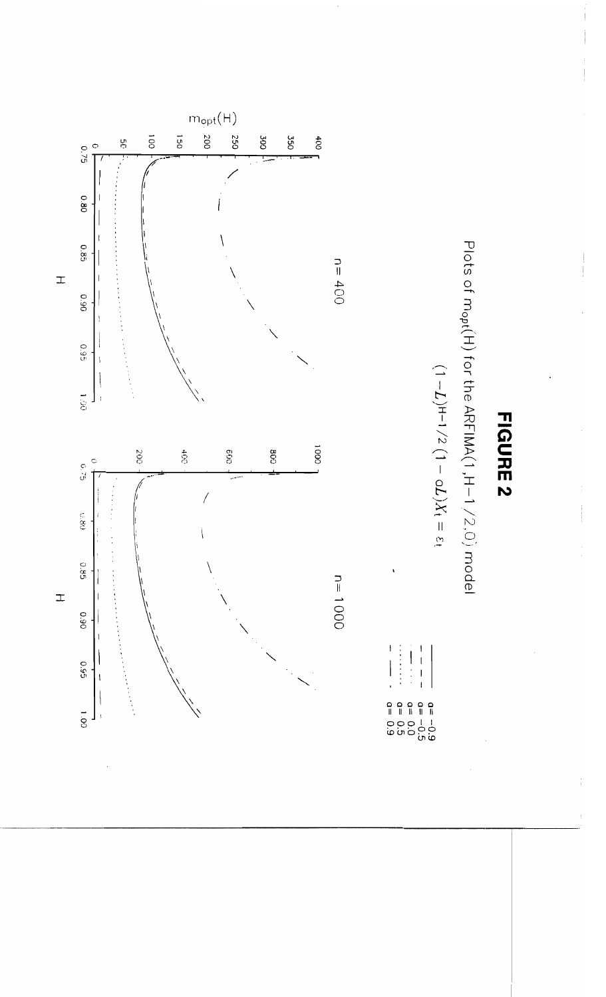

**FIGURE 2** 

Plots of m<sub>opt</sub>(H) for the ARFIMA(1,H-1/2,O) model

 $(1 - L)H^{-1/2} (1 - \sigma L)X_t = \varepsilon$ 

 $\frac{1}{1}$  $\begin{array}{c} \vdots \\ \vdots \\ \vdots \end{array}$  $\begin{array}{c} \n\cdot \\
\cdot \\
\cdot\n\end{array}$  $\overline{1}$  $\begin{array}{rcl} a = & 0 & 0 \\ a = & 0 \\ a = & 0 \\ a = & 0 \\ a = & 0 \\ a = & 0 \end{array}$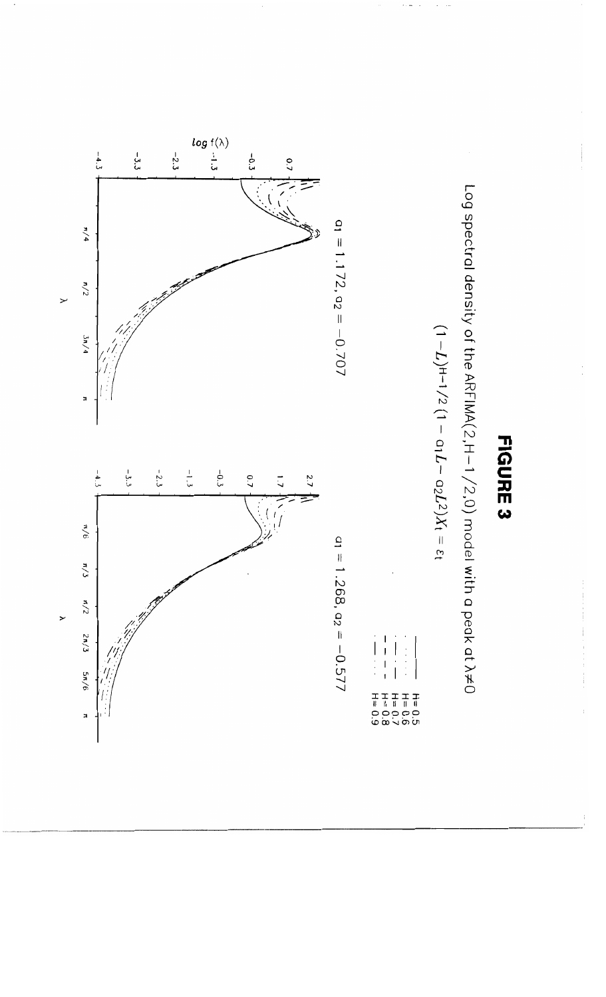

Log spectral density of the ARFIMA(2,H-1/2,0) model with a peak at  $\lambda\!\neq\!0$ 

$$
(1-L)^{H-1}/2\ (1-\alpha_1L-\alpha_2L^2)X_t=\epsilon_t
$$

 $\begin{array}{c} \bullet & \bullet & \bullet \\ \bullet & \bullet & \bullet \\ \bullet & \bullet & \bullet \end{array}$  $\Big\}$  $\overline{1}$ 



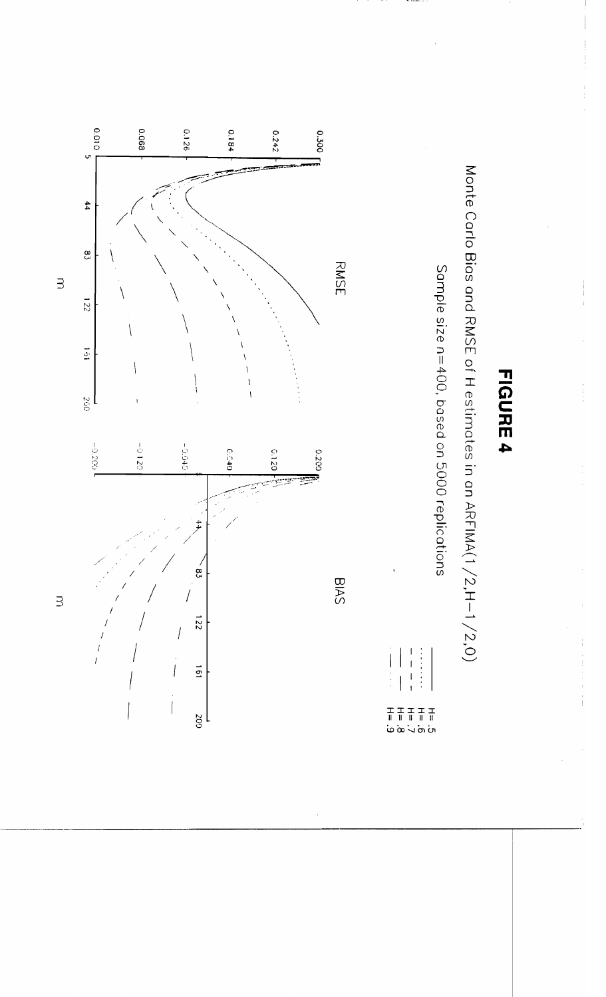

Monte Carlo Bias and RMSE of H estimates in an ARFIMA(1/2,H-1/2,0)

Sample size n=400, based on 5000 replications

 $\overline{\phantom{a}}$ 

 $\overline{1}$ 



 $\exists$ 

 $\exists$